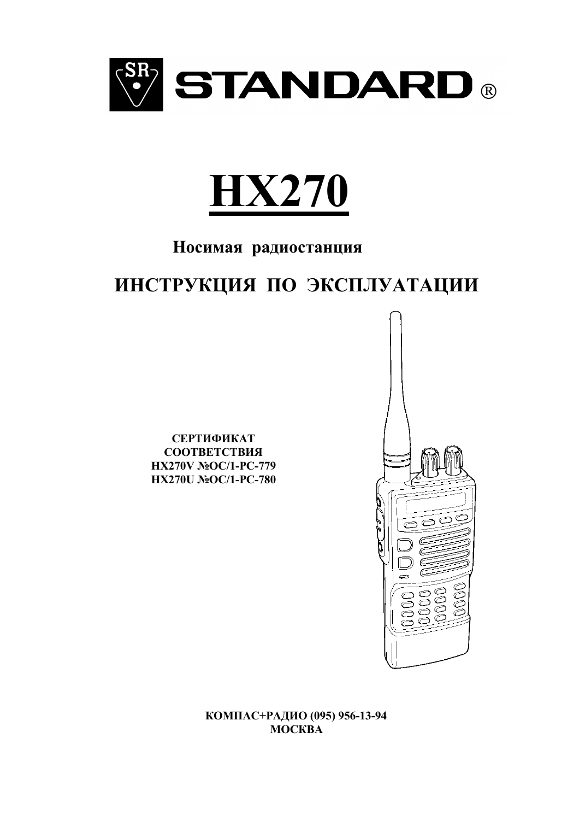



## Носимая радиостанция

# ИНСТРУКЦИЯ ПО ЭКСПЛУАТАЦИИ

СЕРТИФИКАТ СООТВЕТСТВИЯ HX270V №OC/1-PC-779 HX270U NoOC/1-PC-780



КОМПАС+РАДИО (095) 956-13-94 **MOCKBA**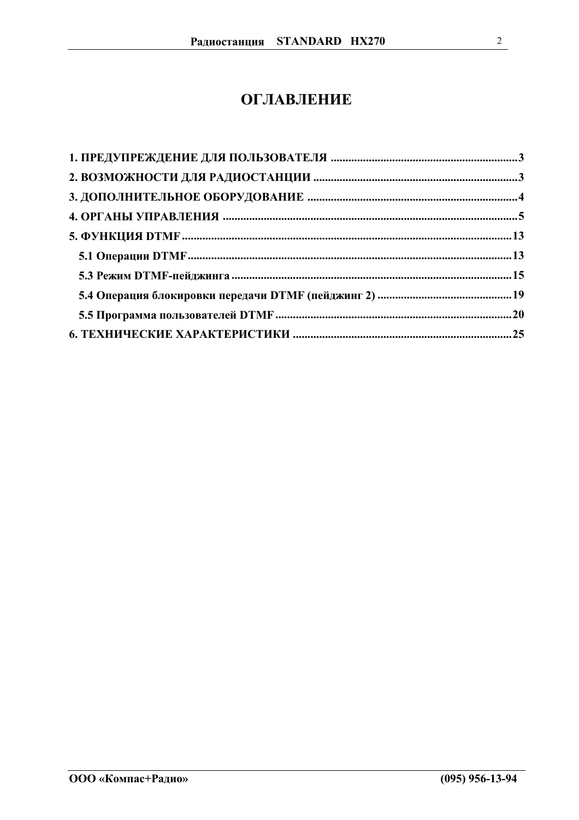## **ОГЛАВЛЕНИЕ**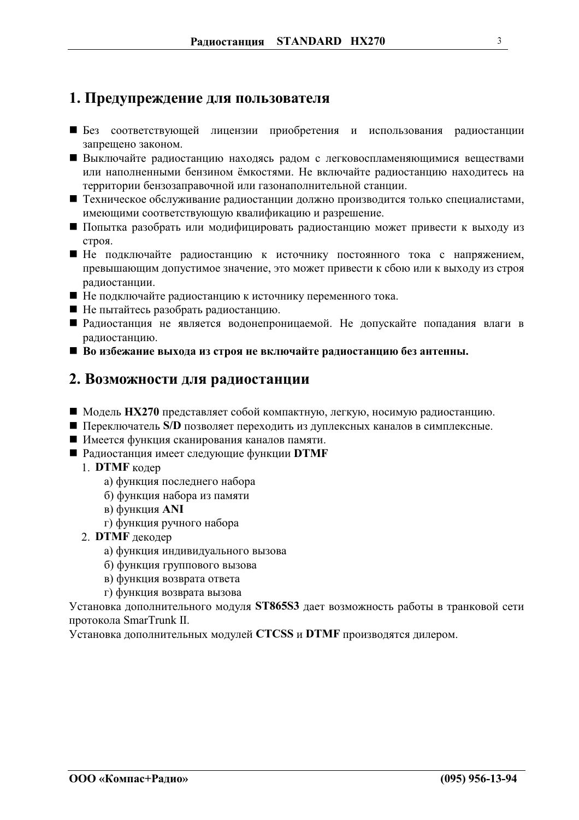## <span id="page-2-0"></span>1. Предупреждение для пользователя

- Без соответствующей лицензии приобретения и использования радиостанции запрещено законом.
- Выключайте радиостанцию находясь радом с легковоспламеняющимися веществами или наполненными бензином ёмкостями. Не включайте радиостанцию находитесь на территории бензозаправочной или газонаполнительной станции.
- Пехническое обслуживание радиостанции должно производится только специалистами, имеющими соответствующую квалификацию и разрешение.
- Попытка разобрать или модифицировать радиостанцию может привести к выходу из строя.
- Пе подключайте радиостанцию к источнику постоянного тока с напряжением, превышающим допустимое значение, это может привести к сбою или к выходу из строя радиостанции.
- Не подключайте радиостанцию к источнику переменного тока.
- Не пытайтесь разобрать радиостанцию.
- Радиостанция не является водонепроницаемой. Не допускайте попадания влаги в радиостанцию.
- Во избежание выхода из строя не включайте радиостанцию без антенны.

## 2. Возможности для радиостанции

- Модель HX270 представляет собой компактную, легкую, носимую радиостанцию.
- Переключатель S/D позволяет переходить из дуплексных каналов в симплексные.
- Имеется функция сканирования каналов памяти.
- Радиостанция имеет следующие функции DTMF
	- 1. DTMF кодер
		- а) функция последнего набора
		- б) функция набора из памяти
		- в) функция ANI
		- г) функция ручного набора
	- 2. DTMF декодер
		- а) функция индивидуального вызова
		- б) функция группового вызова
		- в) функция возврата ответа
		- г) функция возврата вызова

Установка дополнительного модуля ST865S3 дает возможность работы в транковой сети протокола SmarTrunk II.

Установка дополнительных модулей CTCSS и DTMF производятся дилером.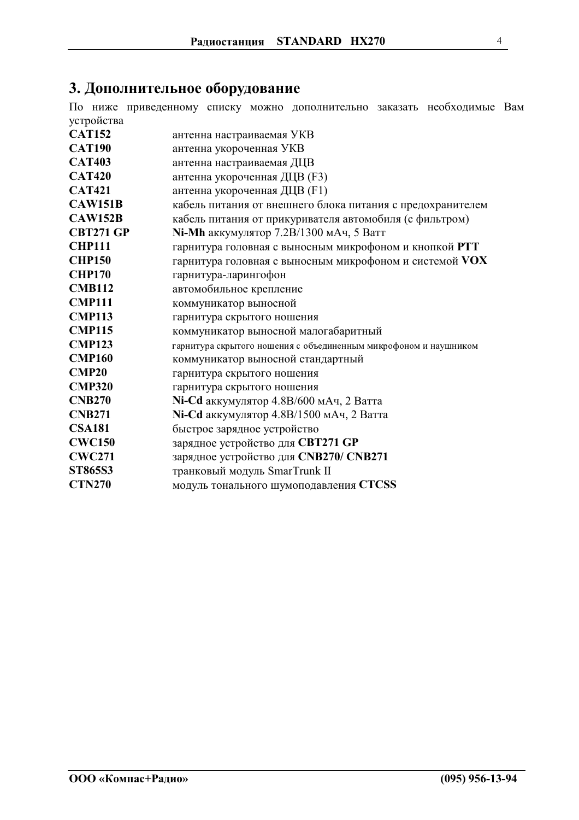## <span id="page-3-0"></span>3. Дополнительное оборудование

По ниже приведенному списку можно дополнительно заказать необходимые Вам устройства

| <b>CAT152</b>    | антенна настраиваемая УКВ                                        |
|------------------|------------------------------------------------------------------|
| <b>CAT190</b>    | антенна укороченная УКВ                                          |
| <b>CAT403</b>    | антенна настраиваемая ДЦВ                                        |
| <b>CAT420</b>    | антенна укороченная ДЦВ (F3)                                     |
| <b>CAT421</b>    | антенна укороченная ДЦВ (F1)                                     |
| <b>CAW151B</b>   | кабель питания от внешнего блока питания с предохранителем       |
| <b>CAW152B</b>   | кабель питания от прикуривателя автомобиля (с фильтром)          |
| <b>CBT271 GP</b> | Ni-Mh аккумулятор 7.2B/1300 мАч, 5 Ватт                          |
| <b>CHP111</b>    | гарнитура головная с выносным микрофоном и кнопкой PTT           |
| <b>CHP150</b>    | гарнитура головная с выносным микрофоном и системой VOX          |
| <b>CHP170</b>    | гарнитура-ларингофон                                             |
| <b>CMB112</b>    | автомобильное крепление                                          |
| <b>CMP111</b>    | коммуникатор выносной                                            |
| <b>CMP113</b>    | гарнитура скрытого ношения                                       |
| <b>CMP115</b>    | коммуникатор выносной малогабаритный                             |
| <b>CMP123</b>    | гарнитура скрытого ношения с объединенным микрофоном и наушником |
| <b>CMP160</b>    | коммуникатор выносной стандартный                                |
| <b>CMP20</b>     | гарнитура скрытого ношения                                       |
| <b>CMP320</b>    | гарнитура скрытого ношения                                       |
| <b>CNB270</b>    | Ni-Cd аккумулятор 4.8B/600 мАч, 2 Ватта                          |
| <b>CNB271</b>    | Ni-Cd аккумулятор 4.8B/1500 мАч, 2 Ватта                         |
| <b>CSA181</b>    | быстрое зарядное устройство                                      |
| <b>CWC150</b>    | зарядное устройство для СВТ271 GP                                |
| <b>CWC271</b>    | зарядное устройство для CNB270/ CNB271                           |
| ST865S3          | транковый модуль SmarTrunk II                                    |
| <b>CTN270</b>    | модуль тонального шумоподавления CTCSS                           |
|                  |                                                                  |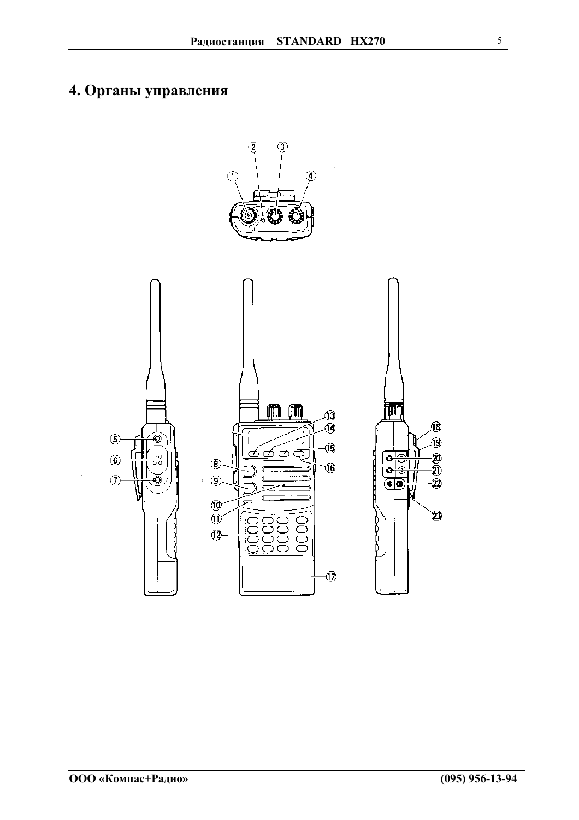## <span id="page-4-0"></span>4. Органы управления

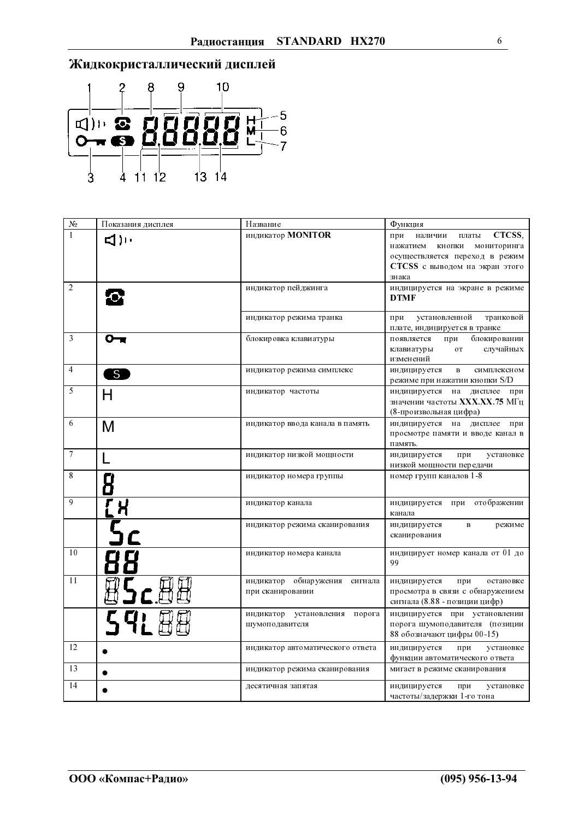

| $N_2$          | Показания дисплея | Название                                             | Функция                                                                                                                                             |
|----------------|-------------------|------------------------------------------------------|-----------------------------------------------------------------------------------------------------------------------------------------------------|
| $\mathbf{1}$   | ייו( 1ב           | индикатор <b>MONITOR</b>                             | CTCSS.<br>наличии<br>платы<br>при<br>нажатием<br>кнопки<br>мониторинга<br>осуществляется переход в режим<br>CTCSS с выводом на экран этого<br>знака |
| 2              |                   | индикатор пейджинга                                  | индицируется на экране в режиме<br><b>DTMF</b>                                                                                                      |
|                |                   | индикатор режима транка                              | установленной<br>транковой<br>при<br>плате, индицируется в транке                                                                                   |
| 3              | 0-                | блокировка клавиатуры                                | при<br>блокировании<br>появляется<br>случайных<br>OT<br>клавиатуры<br>изменений                                                                     |
| $\overline{4}$ | $\mathsf{S}$      | индикатор режима симплекс                            | индицируется<br>$\mathbf{B}$<br>симплексном<br>режиме при нажатии кнопки S/D                                                                        |
| 5              | Н                 | индикатор частоты                                    | индицируется<br>на<br>дисплее<br>при<br>значении частоты XXX.XX.75 МГц<br>(8-произвольная цифра)                                                    |
| 6              | M                 | индикатор ввода канала в память                      | индицируется на<br>дисплее<br>при<br>просмотре памяти и вводе канал в<br>память.                                                                    |
| $\overline{7}$ |                   | индикатор низкой мощности                            | индицируется<br>при<br>установке<br>низкой мощности передачи                                                                                        |
| 8              |                   | индикатор номера группы                              | номер групп каналов 1-8                                                                                                                             |
| 9              |                   | индикатор канала                                     | индицируется при отображении<br>канала                                                                                                              |
|                |                   | индикатор режима сканирования                        | индицируется<br>$\, {\bf B}$<br>режиме<br>сканирования                                                                                              |
| 10             |                   | индикатор номера канала                              | индицирует номер канала от 01 до<br>99                                                                                                              |
| 11             | 05c0              | индикатор обнаружения<br>сигнала<br>при сканировании | индицируется<br>остановке<br>при<br>просмотра в связи с обнаружением<br>сигнала (8.88 - позиции цифр)                                               |
|                | 59188             | индикатор установления<br>порога<br>шумоподавителя   | индицируется при установлении<br>порога шумоподавителя (позиции<br>88 обозначают цифры 00-15)                                                       |
| 12             |                   | индикатор автоматического ответа                     | индицируется<br>при<br>установке<br>функции автоматического ответа                                                                                  |
| 13             |                   | индикатор режима сканирования                        | мигает в режиме сканирования                                                                                                                        |
| 14             |                   | десятичная запятая                                   | индицируется<br>при<br>установке<br>частоты/задержки 1-го тона                                                                                      |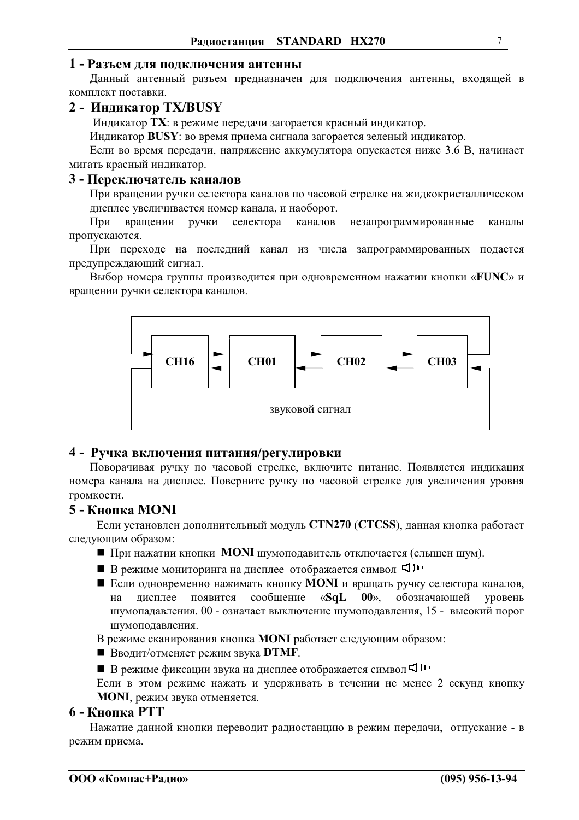#### 1 - Разъем для подключения антенны

Данный антенный разъем предназначен для подключения антенны, входящей в комплект поставки.

### 2 - Индикатор TX/BUSY

Индикатор ТХ: в режиме передачи загорается красный индикатор.

Индикатор BUSY: во время приема сигнала загорается зеленый индикатор.

Если во время передачи, напряжение аккумулятора опускается ниже 3.6 В, начинает мигать красный индикатор.

#### 3 - Переключатель каналов

При вращении ручки селектора каналов по часовой стрелке на жидкокристаллическом дисплее увеличивается номер канала, и наоборот.

При вращении ручки селектора каналов незапрограммированные каналы пропускаются.

При переходе на последний канал из числа запрограммированных подается предупреждающий сигнал.

Выбор номера группы производится при одновременном нажатии кнопки «FUNC» и вращении ручки селектора каналов.



#### 4 - Ручка включения питания/регулировки

Поворачивая ручку по часовой стрелке, включите питание. Появляется индикация номера канала на дисплее. Поверните ручку по часовой стрелке для увеличения уровня громкости.

## 5 - Кнопка MONI

Если установлен дополнительный модуль CTN270 (CTCSS), данная кнопка работает следующим образом:

- При нажатии кнопки MONI шумоподавитель отключается (слышен шум).
- В режиме мониторинга на дисплее отображается символ <
- Если одновременно нажимать кнопку **MONI** и вращать ручку селектора каналов, появится сообщение  $\langle S \mathbf{q} \mathbf{L} \rangle$  $00$ <sub>2</sub> обозначающей на лисплее уровень шумопадавления. 00 - означает выключение шумоподавления, 15 - высокий порог шумоподавления.

В режиме сканирования кнопка **MONI** работает следующим образом:

**• Вводит/отменяет режим звука DTMF.** 

■ В режиме фиксации звука на дисплее отображается символ <

Если в этом режиме нажать и удерживать в течении не менее 2 секунд кнопку **MONI**, режим звука отменяется.

#### **6 - Кнопка РТТ**

Нажатие данной кнопки переводит радиостанцию в режим передачи, отпускание - в режим приема.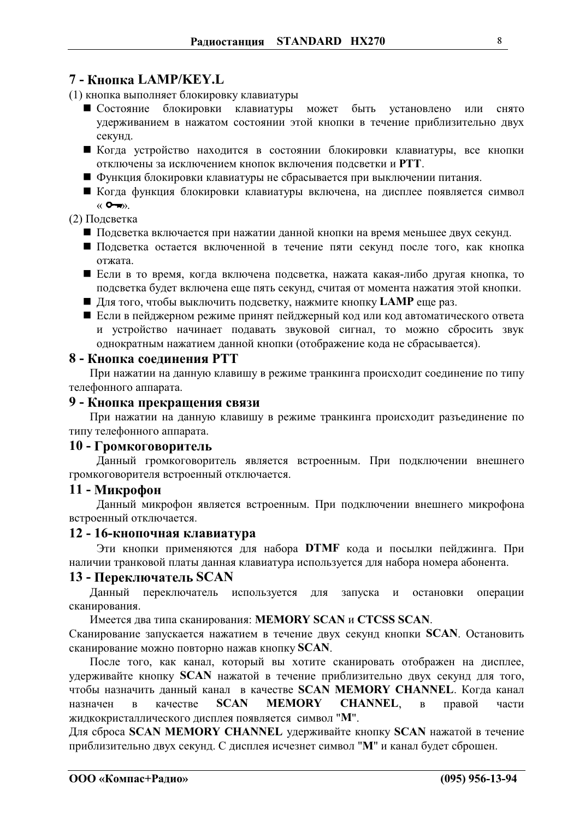## 7 - Кнопка LAMP/KEY.L

- (1) кнопка выполняет блокировку клавиатуры
	- Состояние блокировки клавиатуры может быть установлено ИЛИ снято удерживанием в нажатом состоянии этой кнопки в течение приблизительно двух секунд.
	- Когда устройство находится в состоянии блокировки клавиатуры, все кнопки отключены за исключением кнопок включения подсветки и РТТ.
	- Функция блокировки клавиатуры не сбрасывается при выключении питания.
	- Когда функция блокировки клавиатуры включена, на дисплее появляется символ  $\langle \langle \bullet \bullet \rangle \rangle$ .

#### (2) Подсветка

- Подсветка включается при нажатии данной кнопки на время меньшее двух секунд.
- Подсветка остается включенной в течение пяти секунд после того, как кнопка отжата.
- Если в то время, когда включена подсветка, нажата какая-либо другая кнопка, то подсветка будет включена еще пять секунд, считая от момента нажатия этой кнопки.
- Для того, чтобы выключить подсветку, нажмите кнопку LAMP еще раз.
- Если в пейджерном режиме принят пейджерный код или код автоматического ответа и устройство начинает подавать звуковой сигнал, то можно сбросить звук однократным нажатием данной кнопки (отображение кода не сбрасывается).

#### 8 - Кнопка соелинения РТТ

При нажатии на данную клавишу в режиме транкинга происходит соединение по типу телефонного аппарата.

#### 9 - Кнопка прекращения связи

При нажатии на данную клавишу в режиме транкинга происходит разъединение по типу телефонного аппарата.

#### 10 - Громкоговоритель

Данный громкоговоритель является встроенным. При подключении внешнего громкоговорителя встроенный отключается.

#### 11 - Микрофон

Данный микрофон является встроенным. При подключении внешнего микрофона встроенный отключается.

#### 12 - 16-кнопочная клавиатура

Эти кнопки применяются для набора DTMF кода и посылки пейджинга. При наличии транковой платы данная клавиатура используется для набора номера абонента.

#### 13 - Переключатель SCAN

Данный переключатель используется для запуска остановки операции  $\boldsymbol{\mathrm{M}}$ сканирования.

Имеется два типа сканирования: MEMORY SCAN и CTCSS SCAN.

Сканирование запускается нажатием в течение двух секунд кнопки SCAN. Остановить сканирование можно повторно нажав кнопку SCAN.

После того, как канал, который вы хотите сканировать отображен на дисплее, удерживайте кнопку SCAN нажатой в течение приблизительно двух секунд для того, чтобы назначить данный канал в качестве SCAN MEMORY CHANNEL. Когда канал **CHANNEL.** качестве **SCAN MEMORY** правой назначен  $\mathbf{p}$  $\overline{R}$ части жидкокристаллического дисплея появляется символ "М".

Для сброса SCAN MEMORY CHANNEL удерживайте кнопку SCAN нажатой в течение приблизительно двух секунд. С дисплея исчезнет символ "М" и канал будет сброшен.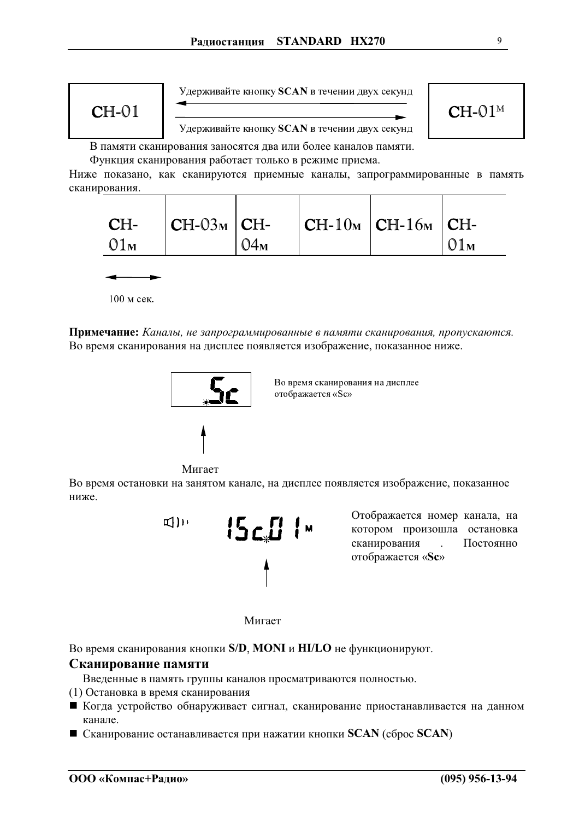

В памяти сканирования заносятся два или более каналов памяти. Функция сканирования работает только в режиме приема.

Ниже показано, как сканируются приемные каналы, запрограммированные в память сканирования.



100 м сек.

Примечание: Каналы, не запрограммированные в памяти сканирования, пропускаются. Во время сканирования на дисплее появляется изображение, показанное ниже.



Во время сканирования на дисплее отображается «Sc»

Мигает

Во время остановки на занятом канале, на дисплее появляется изображение, показанное ниже.



Отображается номер канала, на котором произошла остановка сканирования Постоянно  $\mathbf{r}$ отображается «Sc»



Во время сканирования кнопки S/D, MONI и HI/LO не функционируют.

#### Сканирование памяти

Введенные в память группы каналов просматриваются полностью.

- (1) Остановка в время сканирования
- Когда устройство обнаруживает сигнал, сканирование приостанавливается на данном канале.
- $\blacksquare$  Сканирование останавливается при нажатии кнопки SCAN (сброс SCAN)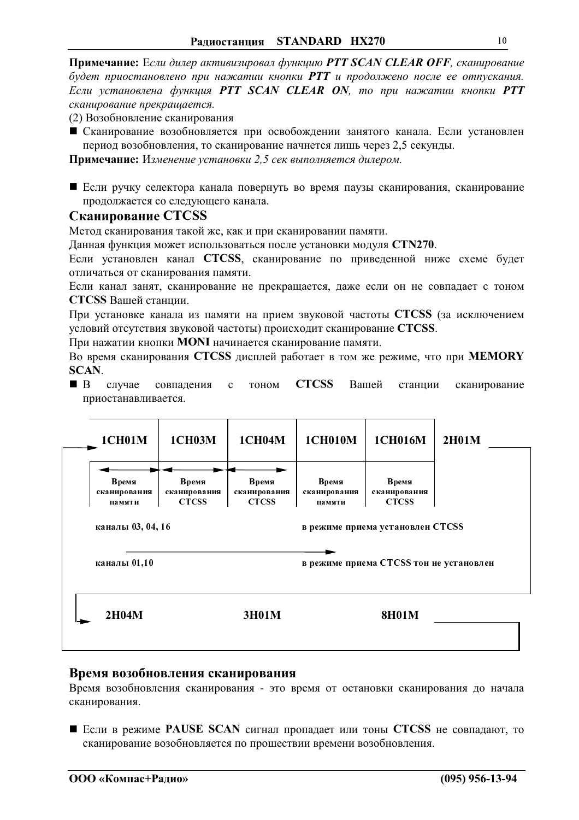Примечание: Если дилер активизировал функцию PTT SCAN CLEAR OFF, сканирование будет приостановлено при нажатии кнопки РТТ и продолжено после ее отпускания. Если установлена функция PTT SCAN CLEAR ON, то при нажатии кнопки PTT сканирование прекращается.

(2) Возобновление сканирования

• Сканирование возобновляется при освобождении занятого канала. Если установлен период возобновления, то сканирование начнется лишь через 2,5 секунды.

Примечание: Изменение установки 2,5 сек выполняется дилером.

■ Если ручку селектора канала повернуть во время паузы сканирования, сканирование продолжается со следующего канала.

#### Сканирование CTCSS

Метод сканирования такой же, как и при сканировании памяти.

Данная функция может использоваться после установки модуля CTN270.

Если установлен канал CTCSS, сканирование по приведенной ниже схеме будет отличаться от сканирования памяти.

Если канал занят, сканирование не прекращается, даже если он не совпадает с тоном CTCSS Вашей станции.

При установке канала из памяти на прием звуковой частоты **CTCSS** (за исключением условий отсутствия звуковой частоты) происходит сканирование CTCSS.

При нажатии кнопки MONI начинается сканирование памяти.

Во время сканирования CTCSS дисплей работает в том же режиме, что при MEMORY **SCAN.** 

**CTCSS**  $\blacksquare$  B случае Вашей станции совпадения  $\mathbf{c}$ тоном сканирование приостанавливается.

| <b>1CH01M</b>                                         | <b>1CH03M</b>                         | <b>1CH04M</b>                         | <b>1CH010M</b>                  | <b>1CH016M</b>                          | 2H01M |
|-------------------------------------------------------|---------------------------------------|---------------------------------------|---------------------------------|-----------------------------------------|-------|
| Время<br>сканирования<br>памяти                       | Время<br>сканирования<br><b>CTCSS</b> | Время<br>сканирования<br><b>CTCSS</b> | Время<br>сканирования<br>памяти | Время<br>сканирования<br><b>CTCSS</b>   |       |
| каналы 03, 04, 16<br>в режиме приема установлен CTCSS |                                       |                                       |                                 |                                         |       |
| каналы 01,10                                          |                                       |                                       |                                 | в режиме приема CTCSS тон не установлен |       |
| 2H04M                                                 |                                       | 3H01M                                 |                                 | <b>8H01M</b>                            |       |

#### Время возобновления сканирования

Время возобновления сканирования - это время от остановки сканирования до начала сканирования.

• Если в режиме PAUSE SCAN сигнал пропадает или тоны CTCSS не совпадают, то сканирование возобновляется по прошествии времени возобновления.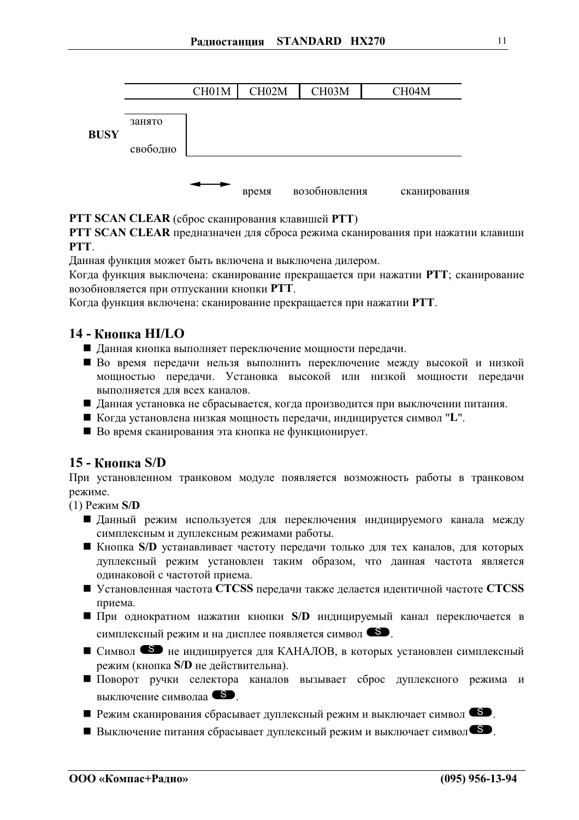

#### PTT SCAN CLEAR (сброс сканирования клавишей PTT)

PTT SCAN CLEAR предназначен для сброса режима сканирования при нажатии клавиши **PTT** 

Данная функция может быть включена и выключена дилером.

Когда функция выключена: сканирование прекращается при нажатии РТТ; сканирование возобновляется при отпускании кнопки PTT.

Когда функция включена: сканирование прекращается при нажатии РТТ.

## 14 - Кнопка НI/LO

- Данная кнопка выполняет переключение мощности передачи.
- Во время передачи нельзя выполнить переключение между высокой и низкой мощностью передачи. Установка высокой или низкой мощности передачи выполняется для всех каналов.
- Данная установка не сбрасывается, когда производится при выключении питания.
- Когда установлена низкая мощность передачи, индицируется символ "L".
- Во время сканирования эта кнопка не функционирует.

#### 15 - Кнопка S/D

При установленном транковом модуле появляется возможность работы в транковом режиме.

 $(1)$  Режим S/D

- Данный режим используется для переключения индицируемого канала между симплексным и дуплексным режимами работы.
- Кнопка S/D устанавливает частоту передачи только для тех каналов, для которых дуплексный режим установлен таким образом, что данная частота является одинаковой с частотой приема.
- Установленная частота CTCSS передачи также делается идентичной частоте CTCSS приема.
- $\blacksquare$  При однократном нажатии кнопки S/D индицируемый канал переключается в симплексный режим и на дисплее появляется символ <sup>69</sup>.
- Символ не индицируется для КАНАЛОВ, в которых установлен симплексный режим (кнопка S/D не действительна).
- Поворот ручки селектора каналов вызывает сброс дуплексного режима и выключение символаа <sup>S</sup>.
- 
- Выключение питания сбрасывает дуплексный режим и выключает символ<sup>69</sup>.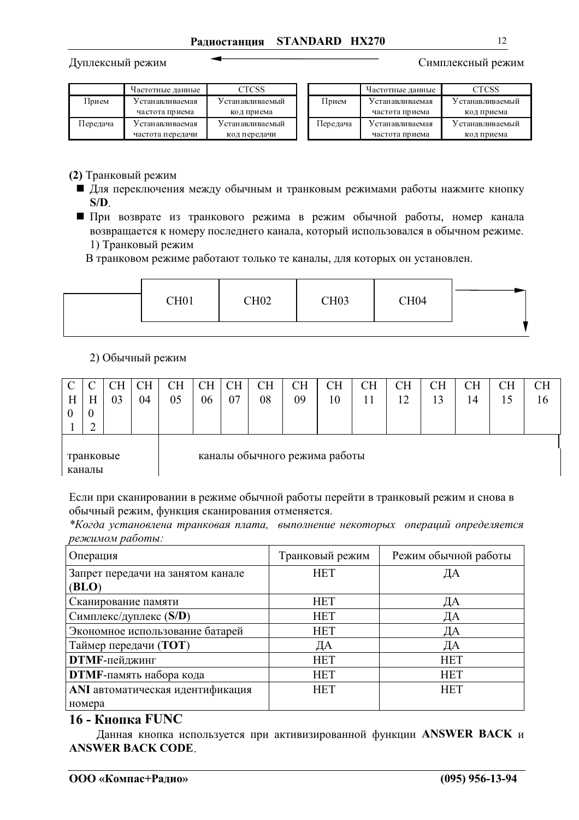Дуплексный режим

Симплексный режим

|          | Частотные данные | CTCSS            |          | Частотные данные | CTCSS            |
|----------|------------------|------------------|----------|------------------|------------------|
| Прием    | / станавливаемая | У станавливаемый | Прием    | У станавливаемая | У станавливаемый |
|          | частота приема   | код приема       |          | частота приема   | код приема       |
| Передача | У станавливаемая | У станавливаемый | Передача | У станавливаемая | Устанавливаемый  |
|          | частота передачи | код передачи     |          | частота приема   | код приема       |

#### (2) Транковый режим

- Для переключения между обычным и транковым режимами работы нажмите кнопку  $S/D$ .
- При возврате из транкового режима в режим обычной работы, номер канала возвращается к номеру последнего канала, который использовался в обычном режиме. 1) Транковый режим

В транковом режиме работают только те каналы, для которых он установлен.

|  |  | CH <sub>01</sub> | CH <sub>02</sub> | <b>CH03</b> | CH <sub>04</sub> |  |
|--|--|------------------|------------------|-------------|------------------|--|
|--|--|------------------|------------------|-------------|------------------|--|

#### 2) Обычный режим

|   |                                            | CН | CН | CН | CН | CН | <b>CH</b> | CН | CН | CН | CН | <b>CH</b> | CН | CН | <b>CH</b> |
|---|--------------------------------------------|----|----|----|----|----|-----------|----|----|----|----|-----------|----|----|-----------|
| Н | H                                          | 03 | 04 | 05 | 06 | 07 | 08        | 09 | 10 | 11 | 12 | 13        | 14 |    | 16        |
|   | $\boldsymbol{0}$                           |    |    |    |    |    |           |    |    |    |    |           |    |    |           |
|   | ◠<br>∽                                     |    |    |    |    |    |           |    |    |    |    |           |    |    |           |
|   |                                            |    |    |    |    |    |           |    |    |    |    |           |    |    |           |
|   | каналы обычного режима работы<br>транковые |    |    |    |    |    |           |    |    |    |    |           |    |    |           |
|   | каналы                                     |    |    |    |    |    |           |    |    |    |    |           |    |    |           |

Если при сканировании в режиме обычной работы перейти в транковый режим и снова в обычный режим, функция сканирования отменяется.

\*Когда установлена транковая плата, выполнение некоторых операций определяется режимом работы:

| Операция                          | Транковый режим | Режим обычной работы |
|-----------------------------------|-----------------|----------------------|
| Запрет передачи на занятом канале | <b>HET</b>      | ДА                   |
| (BLO)                             |                 |                      |
| Сканирование памяти               | <b>HET</b>      | ДА                   |
| Симплекс/дуплекс (S/D)            | <b>HET</b>      | ДА                   |
| Экономное использование батарей   | <b>HET</b>      | ДА                   |
| Таймер передачи (ТОТ)             | ДА              | ДА                   |
| <b>DTMF-пейджинг</b>              | <b>HET</b>      | <b>HET</b>           |
| <b>DTMF-</b> память набора кода   | <b>HET</b>      | <b>HET</b>           |
| ANI автоматическая идентификация  | <b>HET</b>      | <b>HET</b>           |
| номера                            |                 |                      |

### 16 - Кнопка FUNC

Данная кнопка используется при активизированной функции ANSWER BACK и **ANSWER BACK CODE.**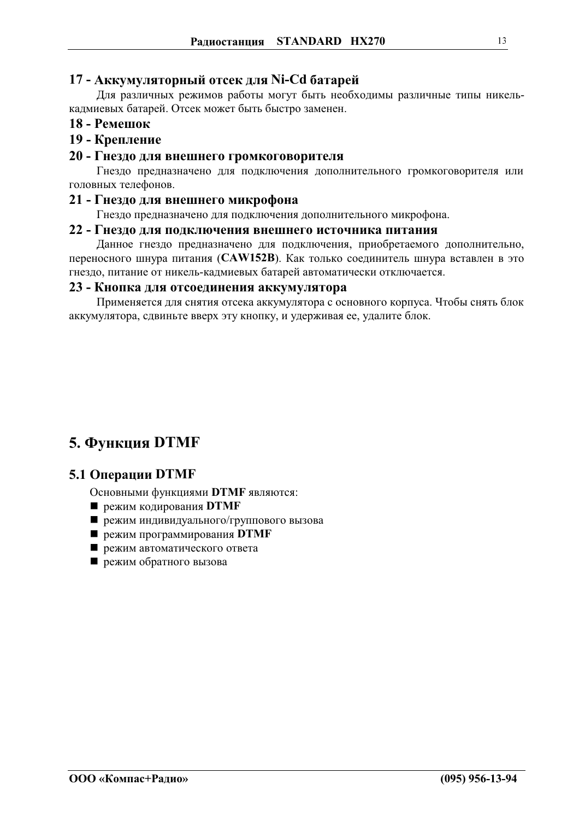### <span id="page-12-0"></span>17 - Аккумуляторный отсек для Ni-Cd батарей

Для различных режимов работы могут быть необходимы различные типы никелькадмиевых батарей. Отсек может быть быстро заменен.

#### 18 - Ремешок

## 19 - Крепление

#### 20 - Гнездо для внешнего громкоговорителя

Гнездо предназначено для подключения дополнительного громкоговорителя или головных телефонов.

#### 21 - Гнездо для внешнего микрофона

Гнездо предназначено для подключения дополнительного микрофона.

#### 22 - Гнездо для подключения внешнего источника питания

Данное гнездо предназначено для подключения, приобретаемого дополнительно, переносного шнура питания (CAW152B). Как только соединитель шнура вставлен в это гнездо, питание от никель-кадмиевых батарей автоматически отключается.

#### 23 - Кнопка для отсоединения аккумулятора

Применяется для снятия отсека аккумулятора с основного корпуса. Чтобы снять блок аккумулятора, сдвиньте вверх эту кнопку, и удерживая ее, удалите блок.

## 5. Функция DTMF

## 5.1 Операции DTMF

- Основными функциями DTMF являются:
- режим кодирования **DTMF**
- режим индивидуального/группового вызова
- режим программирования DTMF
- режим автоматического ответа
- режим обратного вызова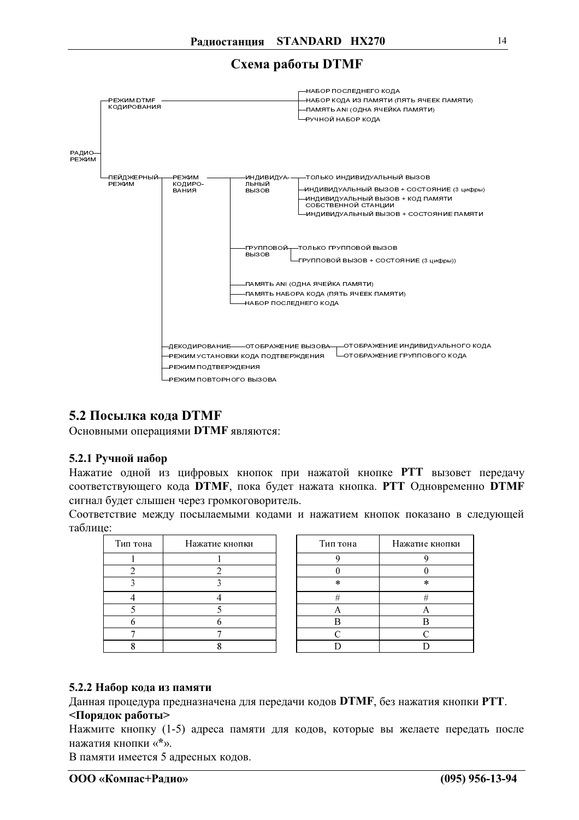Схема работы DTMF



## 5.2 Посылка кода DTMF

Основными операциями DTMF являются:

#### 5.2.1 Ручной набор

Нажатие одной из цифровых кнопок при нажатой кнопке PTT вызовет передачу соответствующего кода DTMF, пока будет нажата кнопка. PTT Одновременно DTMF сигнал будет слышен через громкоговоритель.

Соответствие между посылаемыми кодами и нажатием кнопок показано в следующей таблине:

| Тип тона | Нажатие кнопки |
|----------|----------------|
|          |                |
|          |                |
|          |                |
|          |                |
|          |                |
|          |                |
|          |                |
|          |                |

| Тип тона | Нажатие кнопки |
|----------|----------------|
|          |                |
|          |                |
| $\ast$   | $\ast$         |
| #        | #              |
|          |                |
| B        | R              |
| C        | C              |
|          |                |

#### 5.2.2 Набор кода из памяти

Данная процедура предназначена для передачи кодов DTMF, без нажатия кнопки PTT. <Порядок работы>

Нажмите кнопку (1-5) адреса памяти для кодов, которые вы желаете передать после нажатия кнопки «\*».

В памяти имеется 5 адресных кодов.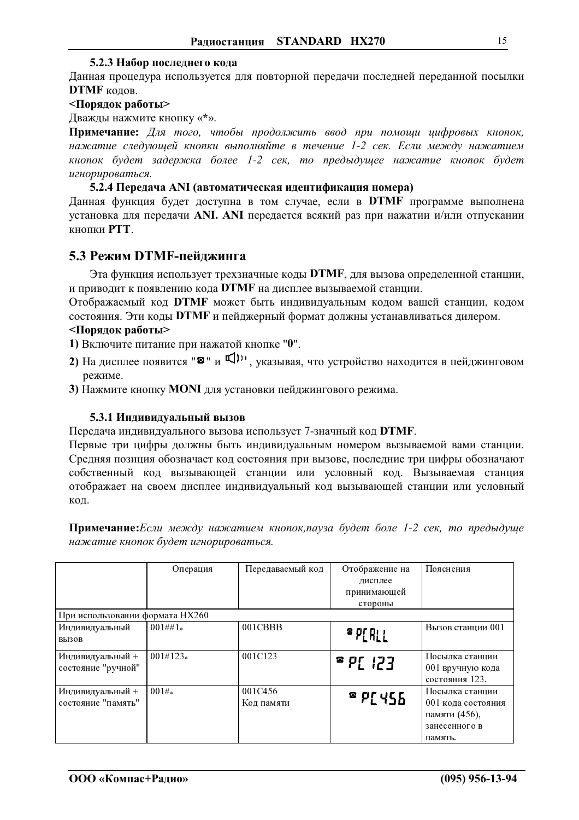#### 5.2.3 Набор последнего кода

<span id="page-14-0"></span>Данная процедура используется для повторной передачи последней переданной посылки **DTMF** кодов.

#### <Порядок работы>

Дважды нажмите кнопку «\*».

Примечание: Для того, чтобы продолжить ввод при помощи цифровых кнопок, нажатие следующей кнопки выполняйте в течение 1-2 сек. Если между нажатием кнопок будет задержка более 1-2 сек, то предыдущее нажатие кнопок будет игнорироваться.

#### 5.2.4 Передача ANI (автоматическая идентификация номера)

Данная функция будет доступна в том случае, если в **DTMF** программе выполнена установка для передачи ANI. ANI передается всякий раз при нажатии и/или отпускании **КНОПКИ РТТ.** 

### 5.3 Режим DTMF-пейлжинга

Эта функция использует трехзначные коды DTMF, для вызова определенной станции, и приводит к появлению кода DTMF на дисплее вызываемой станции.

Отображаемый код DTMF может быть индивидуальным кодом вашей станции, кодом состояния. Эти коды DTMF и пейджерный формат должны устанавливаться дилером.

#### <Порядок работы>

1) Включите питание при нажатой кнопке "0".

- 2) На дисплее появится " $\mathbf{B}$ " и  $\Pi$ <sup>11</sup>, указывая, что устройство находится в пейджинговом режиме.
- 3) Нажмите кнопку MONI для установки пейджингового режима.

#### 5.3.1 Индивидуальный вызов

Передача индивидуального вызова использует 7-значный код DTMF.

Первые три цифры должны быть индивидуальным номером вызываемой вами станции. Средняя позиция обозначает код состояния при вызове, последние три цифры обозначают собственный код вызывающей станции или условный код. Вызываемая станция отображает на своем дисплее индивидуальный код вызывающей станции или условный код.

Примечание: Если между нажатием кнопок, пауза будет боле 1-2 сек, то предыдуще нажатие кнопок будет игнорироваться.

|                                 | Операция   | Передаваемый код | Отображение на | Пояснения          |
|---------------------------------|------------|------------------|----------------|--------------------|
|                                 |            |                  | дисплее        |                    |
|                                 |            |                  |                |                    |
|                                 |            |                  | принимающей    |                    |
|                                 |            |                  | стороны        |                    |
| При использовании формата НХ260 |            |                  |                |                    |
| Индивидуальный                  | $001#1*$   | 001CBBB          |                | Вызов станции 001  |
| <b>ВЫЗОВ</b>                    |            |                  | P[R]           |                    |
|                                 |            |                  |                |                    |
| Индивидуальный +                | $001#123*$ | 001C123          |                | Посылка станции    |
| состояние "ручной"              |            |                  | $E5!$ 39       | 001 вручную кода   |
|                                 |            |                  |                |                    |
|                                 |            |                  |                | состояния 123.     |
| Индивидуальный +                | 001#       | 001C456          |                | Посылка станции    |
| состояние "память"              |            | Код памяти       | PY455          | 001 кода состояния |
|                                 |            |                  |                | памяти (456),      |
|                                 |            |                  |                |                    |
|                                 |            |                  |                | занесенного в      |
|                                 |            |                  |                | память.            |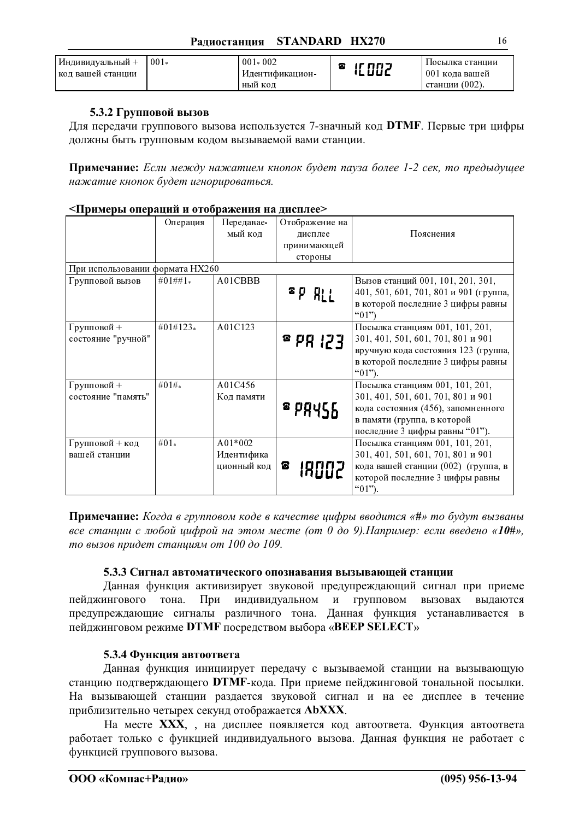| Индивидуальный +  | $-001*$ | $001 * 002$     | nn J | Посылка станции |
|-------------------|---------|-----------------|------|-----------------|
| код вашей станции |         | Идентификацион- |      | 001 кода вашей  |
|                   |         | НЫЙ КОД         |      | станции (002).  |

### 5.3.2 Групповой вызов

Для передачи группового вызова используется 7-значный код DTMF. Первые три цифры должны быть групповым кодом вызываемой вами станции.

Примечание: Если между нажатием кнопок будет пауза более 1-2 сек, то предыдущее нажатие кнопок будет игнорироваться.

#### <Примеры операций и отображения на дисплее>

|                                 | Операция  | Передавае-  | Отображение на     |                                              |
|---------------------------------|-----------|-------------|--------------------|----------------------------------------------|
|                                 |           | мый код     | дисплее            | Пояснения                                    |
|                                 |           |             | принимающей        |                                              |
|                                 |           |             | стороны            |                                              |
| При использовании формата НХ260 |           |             |                    |                                              |
| Групповой вызов                 | $#01##1*$ | A01CBBB     |                    | Вызов станций 001, 101, 201, 301,            |
|                                 |           |             | $P$ $R_{LL}$       | 401, 501, 601, 701, 801 и 901 (группа,       |
|                                 |           |             |                    | в которой последние 3 цифры равны<br>" $01"$ |
| Групповой +                     | #01#123*  | A01C123     |                    | Посылка станциям 001, 101, 201,              |
| состояние "ручной"              |           |             | $E51$ Rq $\degree$ | 301, 401, 501, 601, 701, 801 и 901           |
|                                 |           |             |                    | вручную кода состояния 123 (группа,          |
|                                 |           |             |                    | в которой последние 3 цифры равны            |
|                                 |           |             |                    | $(01")$ .                                    |
| Групповой +                     | #01# $*$  | A01C456     |                    | Посылка станциям 001, 101, 201,              |
| состояние "память"              |           | Код памяти  |                    | 301, 401, 501, 601, 701, 801 и 901           |
|                                 |           |             | 299455             | кода состояния (456), запомненного           |
|                                 |           |             |                    | в памяти (группа, в которой                  |
|                                 |           |             |                    | последние 3 цифры равны "01").               |
| Групповой + код                 | $#01*$    | A01*002     |                    | Посылка станциям 001, 101, 201,              |
| вашей станции                   |           | Идентифика  |                    | 301, 401, 501, 601, 701, 801 и 901           |
|                                 |           | ционный код | ☎<br>19002         | кода вашей станции (002) (группа, в          |
|                                 |           |             |                    | которой последние 3 цифры равны              |
|                                 |           |             |                    | " $01$ ").                                   |

Примечание: Когда в групповом коде в качестве цифры вводится «#» то будут вызваны все станции с любой цифрой на этом месте (от 0 до 9). Например: если введено «10#», то вызов придет станциям от 100 до 109.

#### 5.3.3 Сигнал автоматического опознавания вызывающей станции

Данная функция активизирует звуковой предупреждающий сигнал при приеме При индивидуальном и групповом вызовах пейджингового тона. выдаются предупреждающие сигналы различного тона. Данная функция устанавливается в пейджинговом режиме DTMF посредством выбора «BEEP SELECT»

#### 5.3.4 Функция автоответа

Данная функция инициирует передачу с вызываемой станции на вызывающую станцию подтверждающего DTMF-кода. При приеме пейджинговой тональной посылки. На вызывающей станции раздается звуковой сигнал и на ее дисплее в течение приблизительно четырех секунд отображается АЬХХХ.

На месте XXX, , на дисплее появляется код автоответа. Функция автоответа работает только с функцией индивидуального вызова. Данная функция не работает с функцией группового вызова.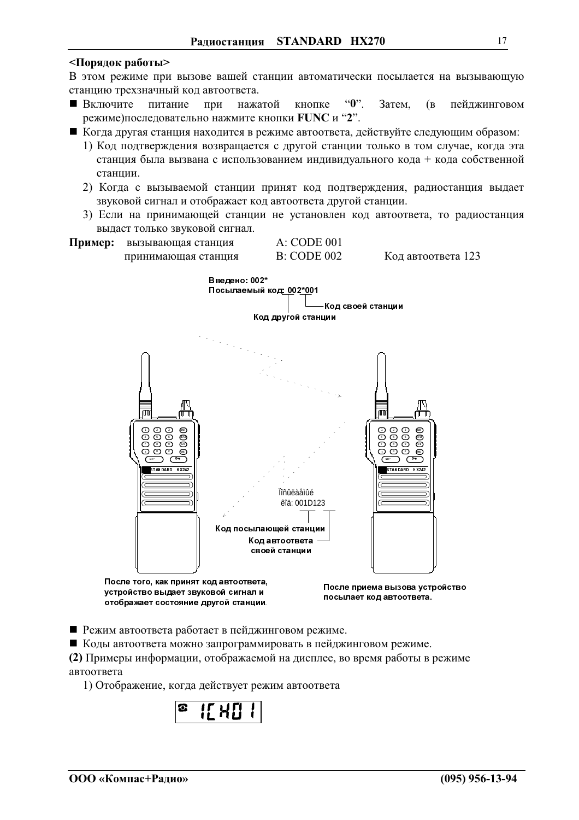#### <Порядок работы>

В этом режиме при вызове вашей станции автоматически посылается на вызывающую станцию трехзначный код автоответа.

- кнопке  $\mathbf{``0"}.$ Затем. **• Включите** питание при нажатой  $(B)$ пейджинговом режиме)последовательно нажмите кнопки FUNC и "2".
- Когда другая станция находится в режиме автоответа, действуйте следующим образом:
	- 1) Код подтверждения возвращается с другой станции только в том случае, когда эта станция была вызвана с использованием индивидуального кода + кода собственной станнии.
	- 2) Когда с вызываемой станции принят код подтверждения, радиостанция выдает звуковой сигнал и отображает код автоответа другой станции.
	- 3) Если на принимающей станции не установлен код автоответа, то радиостанция выдаст только звуковой сигнал.
- **A: CODE 001** Пример: вызывающая станция **B: CODE 002** Код автоответа 123 принимающая станция



После того, как принят код автоответа, устройство выдает звуковой сигнал и отображает состояние другой станции

После приема вызова устройство посылает код автоответа.

■ Режим автоответа работает в пейджинговом режиме.

■ Коды автоответа можно запрограммировать в пейджинговом режиме.

(2) Примеры информации, отображаемой на дисплее, во время работы в режиме автоответа

1) Отображение, когда действует режим автоответа

$$
\begin{array}{|c|c|c|c|}\n\hline\n\text{B} & \text{I} & \text{I} & \text{I} \\
\hline\n\text{C} & \text{I} & \text{I} & \text{I} & \text{I} \\
\hline\n\text{C} & \text{I} & \text{I} & \text{I} & \text{I} & \text{I}\n\end{array}
$$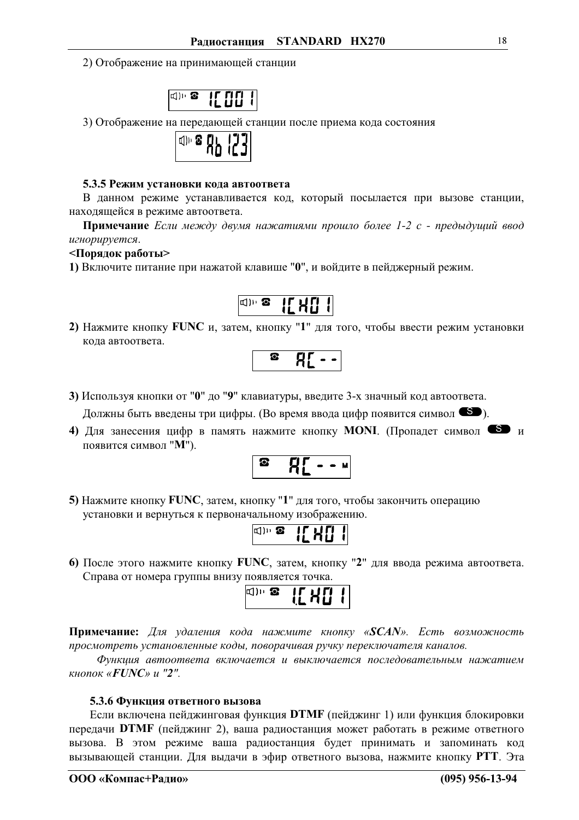2) Отображение на принимающей станции



3) Отображение на передающей станции после приема кода состояния

| о г<br>THD<br>п |  |
|-----------------|--|
|-----------------|--|

#### 5.3.5 Режим установки кода автоответа

В данном режиме устанавливается код, который посылается при вызове станции, находящейся в режиме автоответа.

Примечание Если между двумя нажатиями прошло более 1-2 с - предыдущий ввод игнорируется.

#### <Порядок работы>

1) Включите питание при нажатой клавише "0", и войдите в пейджерный режим.



2) Нажмите кнопку FUNC и, затем, кнопку "1" для того, чтобы ввести режим установки кода автоответа.



- 3) Используя кнопки от "0" до "9" клавиатуры, введите 3-х значный код автоответа. Должны быть введены три цифры. (Во время ввода цифр появится символ  $\bullet$ ).
- 4) Для занесения цифр в память нажмите кнопку MONI. (Пропадет символ S и появится символ "М").

$$
\begin{array}{|c|c|c|}\n\hline\n\text{a} & \text{a} \\
\hline\n\text{b} & \text{b} \\
\hline\n\text{c} & \text{c} \\
\hline\n\text{d} & \text{d} \\
\hline\n\text{d} & \text{d} \\
\hline\n\text{d} & \text{d} \\
\hline\n\text{e} & \text{d} \\
\hline\n\text{f} & \text{d} \\
\hline\n\text{f} & \text{d} \\
\hline\n\text{f} & \text{d} \\
\hline\n\text{f} & \text{d} \\
\hline\n\text{f} & \text{d} \\
\hline\n\text{f} & \text{d} \\
\hline\n\text{f} & \text{d} \\
\hline\n\text{f} & \text{d} \\
\hline\n\text{f} & \text{d} \\
\hline\n\text{f} & \text{d} \\
\hline\n\text{f} & \text{d} \\
\hline\n\text{f} & \text{d} \\
\hline\n\text{f} & \text{d} \\
\hline\n\text{f} & \text{d} \\
\hline\n\text{f} & \text{d} \\
\hline\n\text{f} & \text{d} \\
\hline\n\text{f} & \text{d} \\
\hline\n\text{f} & \text{d} \\
\hline\n\text{f} & \text{d} \\
\hline\n\text{f} & \text{d} \\
\hline\n\text{f} & \text{d} \\
\hline\n\text{f} & \text{d} \\
\hline\n\text{f} & \text{d} \\
\hline\n\text{f} & \text{d} \\
\hline\n\text{f} & \text{d} \\
\hline\n\text{f} & \text{d} \\
\hline\n\text{f} & \text{d} \\
\hline\n\text{f} & \text{d} \\
\hline\n\text{f} & \text{d} \\
\hline\n\text{f} & \text{d} \\
\hline\n\text{f} & \text{d} \\
\hline\n\text{f} & \text{d} \\
\hline\n\text{f} & \text{d} \\
\hline\n\text{f} & \text{d} \\
\hline\n\text{f
$$

5) Нажмите кнопку FUNC, затем, кнопку "1" для того, чтобы закончить операцию установки и вернуться к первоначальному изображению.

| г |  |  |
|---|--|--|
|---|--|--|

6) После этого нажмите кнопку FUNC, затем, кнопку "2" для ввода режима автоответа. Справа от номера группы внизу появляется точка.

|--|--|--|

Примечание: Для удаления кода нажмите кнопку «SCAN». Есть возможность просмотреть установленные коды, поворачивая ручку переключателя каналов.

Функция автоответа включается и выключается последовательным нажатием кнопок «**FUNC**» и "2".

#### 5.3.6 Функция ответного вызова

Если включена пейджинговая функция DTMF (пейджинг 1) или функция блокировки передачи DTMF (пейджинг 2), ваша радиостанция может работать в режиме ответного вызова. В этом режиме ваша радиостанция будет принимать и запоминать код вызывающей станции. Для выдачи в эфир ответного вызова, нажмите кнопку РТТ. Эта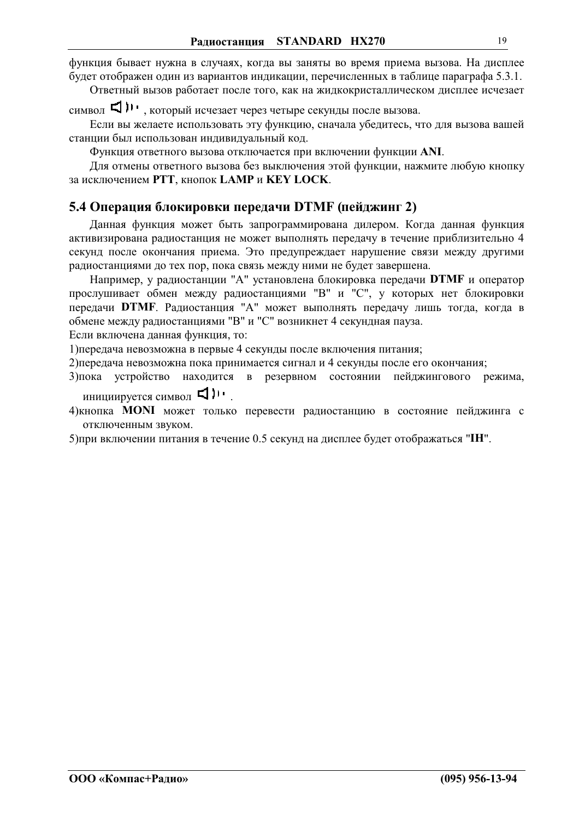<span id="page-18-0"></span>функция бывает нужна в случаях, когда вы заняты во время приема вызова. На дисплее будет отображен один из вариантов индикации, перечисленных в таблице параграфа 5.3.1.

Ответный вызов работает после того, как на жидкокристаллическом дисплее исчезает

Если вы желаете использовать эту функцию, сначала убелитесь, что для вызова вашей станции был использован индивидуальный код.

Функция ответного вызова отключается при включении функции ANI.

Для отмены ответного вызова без выключения этой функции, нажмите любую кнопку за исключением РТТ, кнопок LAMP и KEY LOCK.

#### 5.4 Операция блокировки передачи DTMF (пейджинг 2)

Данная функция может быть запрограммирована дилером. Когда данная функция активизирована радиостанция не может выполнять передачу в течение приблизительно 4 секунд после окончания приема. Это предупреждает нарушение связи между другими радиостанциями до тех пор, пока связь между ними не будет завершена.

Например, у радиостанции "А" установлена блокировка передачи DTMF и оператор прослушивает обмен между радиостанциями "В" и "С", у которых нет блокировки передачи DTMF. Радиостанция "А" может выполнять передачу лишь тогда, когда в обмене между радиостанциями "В" и "С" возникнет 4 секундная пауза.

Если включена данная функция, то:

1) передача невозможна в первые 4 секунды после включения питания;

2) передача невозможна пока принимается сигнал и 4 секунды после его окончания;

- 3) пока устройство находится в резервном состоянии пейджингового режима, инициируется символ <
- 4) кнопка **MONI** может только перевести радиостанцию в состояние пейджинга с отключенным звуком.

5) при включении питания в течение 0.5 секунд на дисплее будет отображаться "IH".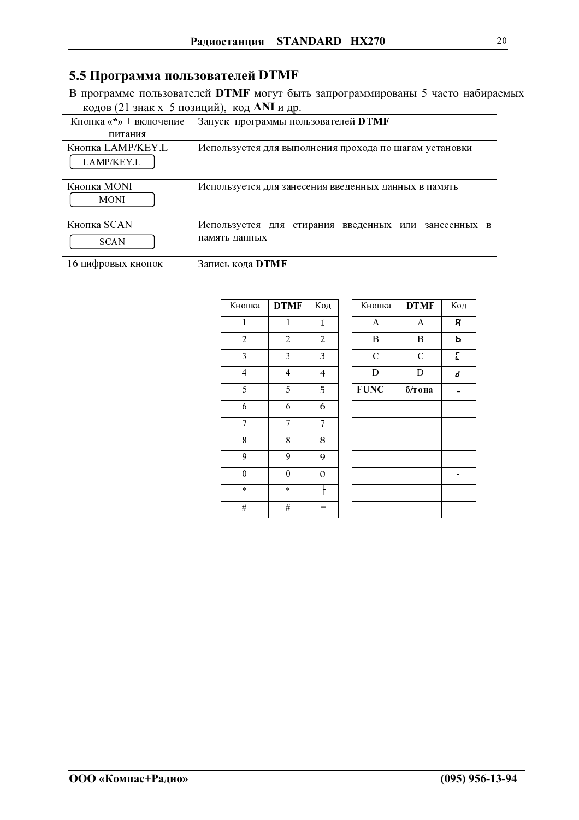## 5.5 Программа пользователей DTMF

В программе пользователей DTMF могут быть запрограммированы 5 часто набираемых кодов (21 знак х 5 позиций), код ANI и др.

| Кнопка «*» + включение<br>питания | Запуск программы пользователей DTMF                                   |                  |                  |                |  |               |                |     |  |
|-----------------------------------|-----------------------------------------------------------------------|------------------|------------------|----------------|--|---------------|----------------|-----|--|
| Кнопка LAMP/KEY.L<br>LAMP/KEY.L   | Используется для выполнения прохода по шагам установки                |                  |                  |                |  |               |                |     |  |
| Кнопка MONI<br><b>MONI</b>        | Используется для занесения введенных данных в память                  |                  |                  |                |  |               |                |     |  |
| Кнопка SCAN<br><b>SCAN</b>        | Используется для стирания введенных или занесенных в<br>память данных |                  |                  |                |  |               |                |     |  |
| 16 цифровых кнопок                |                                                                       | Запись кода DTMF |                  |                |  |               |                |     |  |
|                                   |                                                                       |                  |                  |                |  |               |                |     |  |
|                                   |                                                                       | Кнопка           | <b>DTMF</b>      | Код            |  | Кнопка        | <b>DTMF</b>    | Код |  |
|                                   |                                                                       | 1                | $\mathbf{1}$     | $\mathbf{1}$   |  | $\mathsf{A}$  | $\overline{A}$ | 8   |  |
|                                   |                                                                       | $\overline{2}$   | $\overline{2}$   | $\overline{2}$ |  | $\mathbf{B}$  | B              | ь   |  |
|                                   |                                                                       | 3                | $\overline{3}$   | $\overline{3}$ |  | $\mathcal{C}$ | $\mathcal{C}$  | E.  |  |
|                                   |                                                                       | $\overline{4}$   | $\overline{4}$   | $\overline{4}$ |  | D             | D              | d.  |  |
|                                   |                                                                       | 5                | 5                | 5              |  | <b>FUNC</b>   | б/тона         |     |  |
|                                   |                                                                       | 6                | 6                | 6              |  |               |                |     |  |
|                                   |                                                                       | $\overline{7}$   | $\tau$           | $\overline{7}$ |  |               |                |     |  |
|                                   |                                                                       | 8                | 8                | 8              |  |               |                |     |  |
|                                   |                                                                       | 9                | 9                | 9              |  |               |                |     |  |
|                                   |                                                                       | $\mathbf{0}$     | $\boldsymbol{0}$ | $\mathcal{O}$  |  |               |                |     |  |
|                                   |                                                                       | $\ast$           | $\ast$           |                |  |               |                |     |  |
|                                   |                                                                       | #                | $\overline{\#}$  | $\equiv$       |  |               |                |     |  |
|                                   |                                                                       |                  |                  |                |  |               |                |     |  |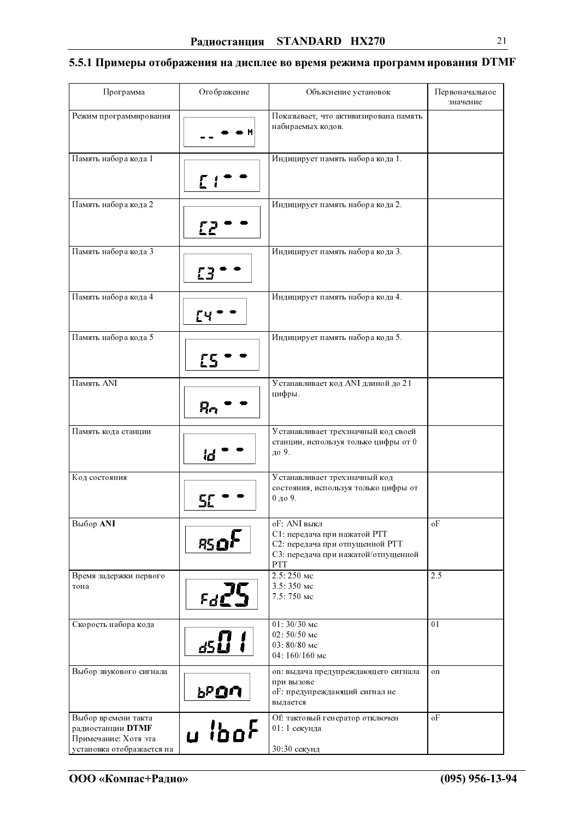## 5.5.1 Примеры отображения на дисплее во время режима программ ирования DTMF

| Программа                                                                                     | Отображение       | Объяснение установок                                                                                                          | Первоначальное<br>значение |
|-----------------------------------------------------------------------------------------------|-------------------|-------------------------------------------------------------------------------------------------------------------------------|----------------------------|
| Режим программирования                                                                        |                   | Показывает, что активизирована память<br>набираемых кодов.                                                                    |                            |
| Память набора кода 1                                                                          |                   | Индицирует память набора кода 1.                                                                                              |                            |
| Память набора кода 2                                                                          |                   | Индицирует память набора кода 2.                                                                                              |                            |
| Память набора кода 3                                                                          |                   | Индицирует память набора кода 3.                                                                                              |                            |
| Память набора кода 4                                                                          |                   | Индицирует память набора кода 4.                                                                                              |                            |
| Память набора кода 5                                                                          | £5                | Индицирует память набора кода 5.                                                                                              |                            |
| Память ANI                                                                                    | Ŗη                | Устанавливает код ANI длиной до 21<br>цифры.                                                                                  |                            |
| Память кода станции                                                                           | id                | Устанавливает трехзначный код своей<br>станции, используя только цифры от 0<br>до 9.                                          |                            |
| Код состояния                                                                                 |                   | Устанавливает трехзначный код<br>состояния, используя только цифры от<br>0 до 9.                                              |                            |
| Выбор ANI                                                                                     | 85 O <sup>1</sup> | оF: ANI выкл<br>С1: передача при нажатой РТТ<br>С2: передача при отпущенной РТТ<br>С3: передача при нажатой/отпущенной<br>PTT | oF                         |
| Время задержки первого<br>тона                                                                | Fdl               | 2.5: 250 мс<br>3.5:350 мс<br>7.5: 750 мс                                                                                      | 2.5                        |
| Скорость набора кода                                                                          | <u>d51</u>        | 01: 30/30 мс<br>02: 50/50 мс<br>03: 80/80 мс<br>04: 160/160 мс                                                                | 01                         |
| Выбор звукового сигнала                                                                       | <u>አክርካ</u>       | on: выдача предупреждающего сигнала<br>при вызове<br>оГ: предупреждающий сигнал не<br>выдается                                | on                         |
| Выбор времени такта<br>радиостанции DTMF<br>Примечание: Хотя эта<br>установка отображается на | u ibof            | Of: тактовый генератор отключен<br>01: 1 секунда<br>30:30 секунд                                                              | oF                         |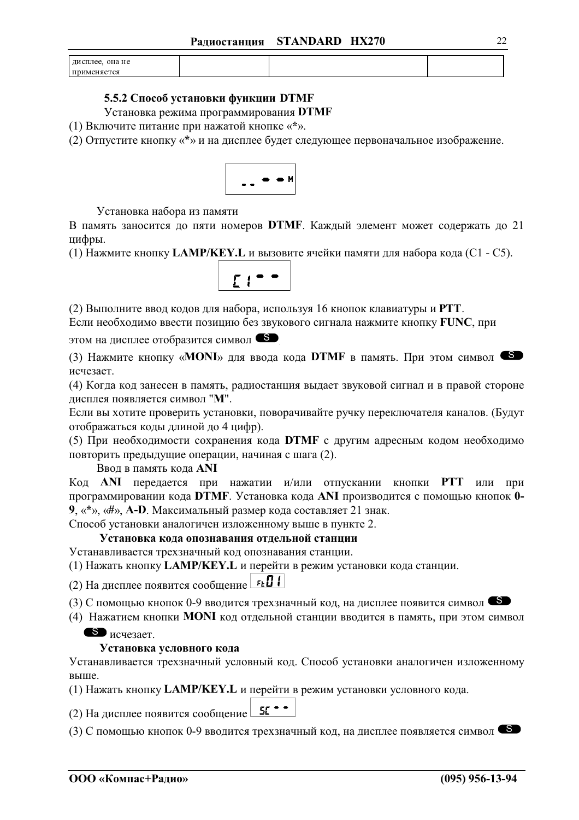| она не<br>дисплее. |  |  |
|--------------------|--|--|
| применяется        |  |  |

#### 5.5.2 Способ установки функции DTMF

Установка режима программирования DTMF

(1) Включите питание при нажатой кнопке «\*».

(2) Отпустите кнопку «\*» и на дисплее будет следующее первоначальное изображение.



Установка набора из памяти

В память заносится до пяти номеров DTMF. Каждый элемент может содержать до 21 цифры.

(1) Нажмите кнопку LAMP/KEY. L и вызовите ячейки памяти для набора кода (C1 - C5).



(2) Выполните ввод кодов для набора, используя 16 кнопок клавиатуры и РТТ.

Если необходимо ввести позицию без звукового сигнала нажмите кнопку FUNC, при

этом на дисплее отобразится символ S

(3) Нажмите кнопку «**MONI**» для ввода кода **DTMF** в память. При этом символ исчезает.

(4) Когда код занесен в память, радиостанция выдает звуковой сигнал и в правой стороне дисплея появляется символ "М".

Если вы хотите проверить установки, поворачивайте ручку переключателя каналов. (Будут отображаться коды длиной до 4 цифр).

(5) При необходимости сохранения кода DTMF с другим адресным кодом необходимо повторить предыдущие операции, начиная с шага (2).

Ввод в память кода ANI

Код ANI передается при нажатии и/или отпускании кнопки PTT или при программировании кода DTMF. Установка кода ANI производится с помощью кнопок 0-9,  $\langle x^* \rangle$ ,  $\langle x \rangle$ , A-D. Максимальный размер кода составляет 21 знак.

Способ установки аналогичен изложенному выше в пункте 2.

Установка кода опознавания отдельной станции

Устанавливается трехзначный код опознавания станции.

(1) Нажать кнопку LAMP/KEY. L и перейти в режим установки кода станции.

(2) На дисплее появится сообщение ЕЕП

(3) С помощью кнопок 0-9 вводится трехзначный код, на дисплее появится символ

(4) Нажатием кнопки MONI код отдельной станции вводится в память, при этом символ

 $\bullet$  исчезает.

#### Установка условного кода

Устанавливается трехзначный условный код. Способ установки аналогичен изложенному выше.

(1) Нажать кнопку LAMP/KEY.L и перейти в режим установки условного кода.

(2) На дисплее появится сообщение <u>SE</u> • •

(3) С помощью кнопок 0-9 вводится трехзначный код, на дисплее появляется символ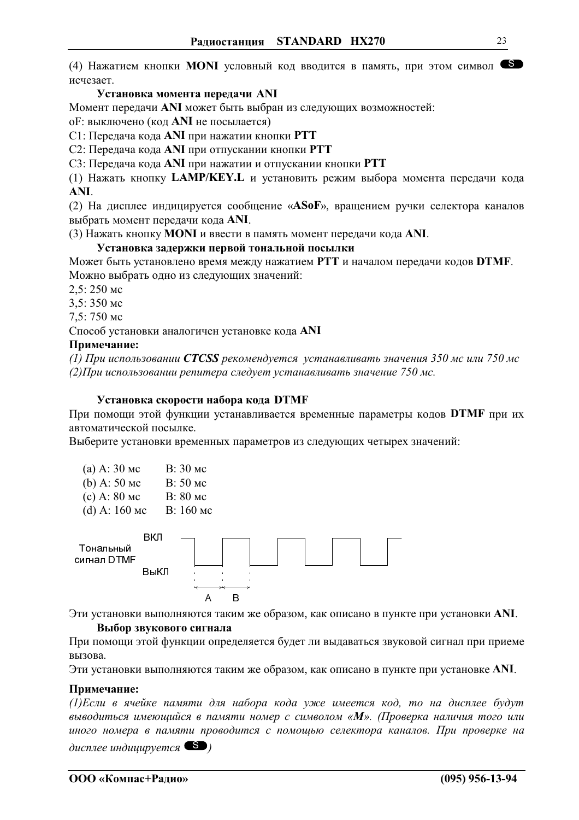(4) Нажатием кнопки MONI условный код вводится в память, при этом символ исчезает.

#### Установка момента передачи ANI

Момент передачи ANI может быть выбран из следующих возможностей:

оF: выключено (код ANI не посылается)

С1: Передача кода ANI при нажатии кнопки PTT

С2: Передача кода ANI при отпускании кнопки PTT

С3: Передача кода ANI при нажатии и отпускании кнопки PTT

(1) Нажать кнопку LAMP/KEY.L и установить режим выбора момента передачи кода ANI.

(2) На дисплее индицируется сообщение «АSoF», вращением ручки селектора каналов выбрать момент передачи кода ANI.

(3) Нажать кнопку MONI и ввести в память момент передачи кода ANI.

#### Установка задержки первой тональной посылки

Может быть установлено время между нажатием РТТ и началом передачи кодов DTMF. Можно выбрать одно из следующих значений:

 $2.5:250$  MC

3.5:350 мс

7,5:750 мс

Способ установки аналогичен установке кода ANI

#### Примечание:

(1) При использовании **CTCSS** рекомендуется устанавливать значения 350 мс или 750 мс (2) При использовании репитера следует устанавливать значение 750 мс.

#### Установка скорости набора кода DTMF

При помощи этой функции устанавливается временные параметры кодов DTMF при их автоматической посылке.

Выберите установки временных параметров из следующих четырех значений:

| (a) A: $30 \text{ mc}$ | В: 30 мс |
|------------------------|----------|
| (b) A: $50$ Mc         | В: 50 мс |
| (c) A: $80$ Mc         | В: 80 мс |

- 
- (d) A:  $160$  MC В: 160 мс



Эти установки выполняются таким же образом, как описано в пункте при установки ANI. Выбор звукового сигнала

При помощи этой функции определяется будет ли выдаваться звуковой сигнал при приеме вызова.

Эти установки выполняются таким же образом, как описано в пункте при установке ANI.

#### Примечание:

(1) Если в ячейке памяти для набора кода уже имеется код, то на дисплее будут выводиться имеющийся в памяти номер с символом «М». (Проверка наличия того или иного номера в памяти проводится с помощью селектора каналов. При проверке на

 $\alpha$  дисплее индицируется  $\bullet$ )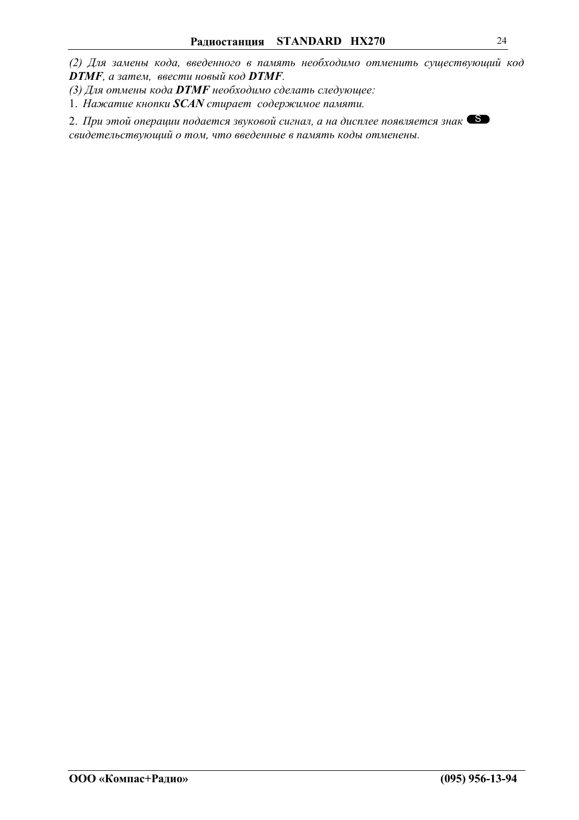(2) Для замены кода, введенного в память необходимо отменить существующий код **DTMF**, а затем, ввести новый код **DTMF**.

(3) Для отмены кода DTMF необходимо сделать следующее:

1. Нажатие кнопки SCAN стирает содержимое памяти.

2. При этой операции подается звуковой сигнал, а на дисплее появляется знак свидетельствующий о том, что введенные в память коды отменены.